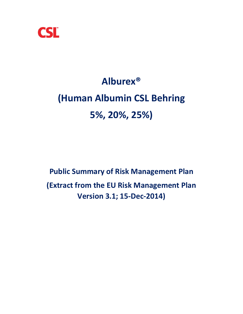

# **Alburex® (Human Albumin CSL Behring 5%, 20%, 25%)**

**Public Summary of Risk Management Plan (Extract from the EU Risk Management Plan Version 3.1; 15‐Dec‐2014)**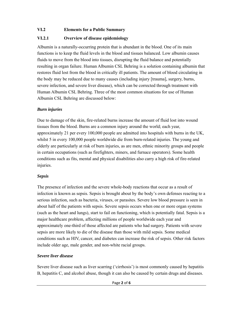## **VI.2 Elements for a Public Summary**

# **VI.2.1 Overview of disease epidemiology**

Albumin is a naturally-occurring protein that is abundant in the blood. One of its main functions is to keep the fluid levels in the blood and tissues balanced. Low albumin causes fluids to move from the blood into tissues, disrupting the fluid balance and potentially resulting in organ failure. Human Albumin CSL Behring is a solution containing albumin that restores fluid lost from the blood in critically ill patients. The amount of blood circulating in the body may be reduced due to many causes (including injury [trauma], surgery, burns, severe infection, and severe liver disease), which can be corrected through treatment with Human Albumin CSL Behring. Three of the most common situations for use of Human Albumin CSL Behring are discussed below:

# *Burn injuries*

Due to damage of the skin, fire-related burns increase the amount of fluid lost into wound tissues from the blood. Burns are a common injury around the world; each year, approximately 21 per every 100,000 people are admitted into hospitals with burns in the UK, whilst 5 in every 100,000 people worldwide die from burn-related injuries. The young and elderly are particularly at risk of burn injuries, as are men, ethnic minority groups and people in certain occupations (such as firefighters, miners, and furnace operators). Some health conditions such as fits, mental and physical disabilities also carry a high risk of fire-related injuries.

# *Sepsis*

The presence of infection and the severe whole-body reactions that occur as a result of infection is known as sepsis. Sepsis is brought about by the body's own defenses reacting to a serious infection, such as bacteria, viruses, or parasites. Severe low blood pressure is seen in about half of the patients with sepsis. Severe sepsis occurs when one or more organ systems (such as the heart and lungs), start to fail on functioning, which is potentially fatal. Sepsis is a major healthcare problem, affecting millions of people worldwide each year and approximately one-third of those affected are patients who had surgery. Patients with severe sepsis are more likely to die of the disease than those with mild sepsis. Some medical conditions such as HIV, cancer, and diabetes can increase the risk of sepsis. Other risk factors include older age, male gender, and non-white racial groups.

# *Severe liver disease*

Severe liver disease such as liver scarring ('cirrhosis') is most commonly caused by hepatitis B, hepatitis C, and alcohol abuse, though it can also be caused by certain drugs and diseases.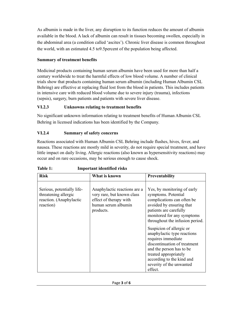As albumin is made in the liver, any disruption to its function reduces the amount of albumin available in the blood. A lack of albumin can result in tissues becoming swollen, especially in the abdominal area (a condition called 'ascites'). Chronic liver disease is common throughout the world, with an estimated 4.5 to9.5percent of the population being affected.

# **Summary of treatment benefits**

Medicinal products containing human serum albumin have been used for more than half a century worldwide to treat the harmful effects of low blood volume. A number of clinical trials show that products containing human serum albumin (including Human Albumin CSL Behring) are effective at replacing fluid lost from the blood in patients. This includes patients in intensive care with reduced blood volume due to severe injury (trauma), infections (sepsis), surgery, burn patients and patients with severe liver disease.

# **VI.2.3 Unknowns relating to treatment benefits**

No significant unknown information relating to treatment benefits of Human Albumin CSL Behring in licensed indications has been identified by the Company.

# **VI.2.4 Summary of safety concerns**

Reactions associated with Human Albumin CSL Behring include flushes, hives, fever, and nausea. These reactions are mostly mild in severity, do not require special treatment, and have little impact on daily living. Allergic reactions (also known as hypersensitivity reactions) may occur and on rare occasions, may be serious enough to cause shock.

| <b>Risk</b>                                                                                | What is known                                                                                                            | <b>Preventability</b>                                                                                                                                                                                                                                                                                                                                                                                                                             |
|--------------------------------------------------------------------------------------------|--------------------------------------------------------------------------------------------------------------------------|---------------------------------------------------------------------------------------------------------------------------------------------------------------------------------------------------------------------------------------------------------------------------------------------------------------------------------------------------------------------------------------------------------------------------------------------------|
| Serious, potentially life-<br>threatening allergic<br>reaction. (Anaphylactic<br>reaction) | Anaphylactic reactions are a<br>very rare, but known class<br>effect of therapy with<br>human serum albumin<br>products. | Yes, by monitoring of early<br>symptoms. Potential<br>complications can often be<br>avoided by ensuring that<br>patients are carefully<br>monitored for any symptoms<br>throughout the infusion period.<br>Suspicion of allergic or<br>anaphylactic type reactions<br>requires immediate<br>discontinuation of treatment<br>and the person has to be<br>treated appropriately<br>according to the kind and<br>severity of the unwanted<br>effect. |

**Table 1: Important identified risks**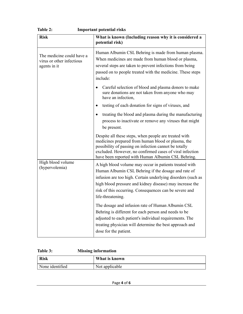| <b>Risk</b>                                                            | What is known (Including reason why it is considered a<br>potential risk)                                                                                                                                                                                                                                                |  |
|------------------------------------------------------------------------|--------------------------------------------------------------------------------------------------------------------------------------------------------------------------------------------------------------------------------------------------------------------------------------------------------------------------|--|
| The medicine could have a<br>virus or other infectious<br>agents in it | Human Albumin CSL Behring is made from human plasma.<br>When medicines are made from human blood or plasma,<br>several steps are taken to prevent infections from being<br>passed on to people treated with the medicine. These steps<br>include:                                                                        |  |
|                                                                        | Careful selection of blood and plasma donors to make<br>sure donations are not taken from anyone who may<br>have an infection,                                                                                                                                                                                           |  |
|                                                                        | testing of each donation for signs of viruses, and<br>$\bullet$                                                                                                                                                                                                                                                          |  |
|                                                                        | treating the blood and plasma during the manufacturing<br>$\bullet$<br>process to inactivate or remove any viruses that might<br>be present.                                                                                                                                                                             |  |
|                                                                        | Despite all these steps, when people are treated with<br>medicines prepared from human blood or plasma, the<br>possibility of passing on infection cannot be totally<br>excluded. However, no confirmed cases of viral infection<br>have been reported with Human Albumin CSL Behring.                                   |  |
| High blood volume<br>(hypervolemia)                                    | A high blood volume may occur in patients treated with<br>Human Albumin CSL Behring if the dosage and rate of<br>infusion are too high. Certain underlying disorders (such as<br>high blood pressure and kidney disease) may increase the<br>risk of this occurring. Consequences can be severe and<br>life-threatening. |  |
|                                                                        | The dosage and infusion rate of Human Albumin CSL<br>Behring is different for each person and needs to be<br>adjusted to each patient's individual requirements. The<br>treating physician will determine the best approach and<br>dose for the patient.                                                                 |  |

| <b>Table 2:</b> | <b>Important potential risks</b> |  |
|-----------------|----------------------------------|--|
|                 |                                  |  |

## **Table 3: Missing information**

| <b>Risk</b>     | What is known  |
|-----------------|----------------|
| None identified | Not applicable |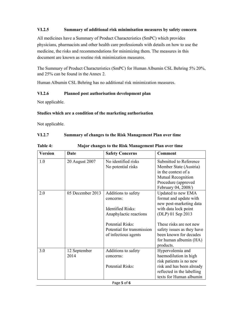### **VI.2.5 Summary of additional risk minimisation measures by safety concern**

All medicines have a Summary of Product Characteristics (SmPC) which provides physicians, pharmacists and other health care professionals with details on how to use the medicine, the risks and recommendations for minimizing them. The measures in this document are known as routine risk minimization measures.

The Summary of Product Characteristics (SmPC) for Human Albumin CSL Behring 5% 20%, and 25% can be found in the Annex 2.

Human Albumin CSL Behring has no additional risk minimization measures.

#### **VI.2.6 Planned post authorisation development plan**

Not applicable.

#### **Studies which are a condition of the marketing authorisation**

Not applicable.

### **VI.2.7 Summary of changes to the Risk Management Plan over time**

| Table 4: |  |  |
|----------|--|--|
|          |  |  |

**Major changes to the Risk Management Plan over time** 

| <b>Version</b> | Date                 | <b>Safety Concerns</b>                                                                                                                                                  | <b>Comment</b>                                                                                                                                                                                                                                 |
|----------------|----------------------|-------------------------------------------------------------------------------------------------------------------------------------------------------------------------|------------------------------------------------------------------------------------------------------------------------------------------------------------------------------------------------------------------------------------------------|
| 1.0            | 20 August 2007       | No identified risks<br>No potential risks                                                                                                                               | Submitted to Reference<br>Member State (Austria)<br>in the context of a<br>Mutual Recognition<br>Procedure (approved<br>February 04, 2008/)                                                                                                    |
| 2.0            | 05 December 2013     | Additions to safety<br>concerns:<br><b>Identified Risks:</b><br>Anaphylactic reactions<br><b>Potential Risks:</b><br>Potential for transmission<br>of infectious agents | Updated to new EMA<br>format and update with<br>new post-marketing data<br>with data lock point<br>(DLP) 01 Sep 2013<br>These risks are not new<br>safety issues as they have<br>been known for decades<br>for human albumin (HA)<br>products. |
| 3.0            | 12 September<br>2014 | Additions to safety<br>concerns:<br><b>Potential Risks:</b>                                                                                                             | Hypervolemia and<br>haemodilution in high<br>risk patients is no new<br>risk and has been already<br>reflected in the labelling<br>texts for Human albumin                                                                                     |

Page **5** of **6**